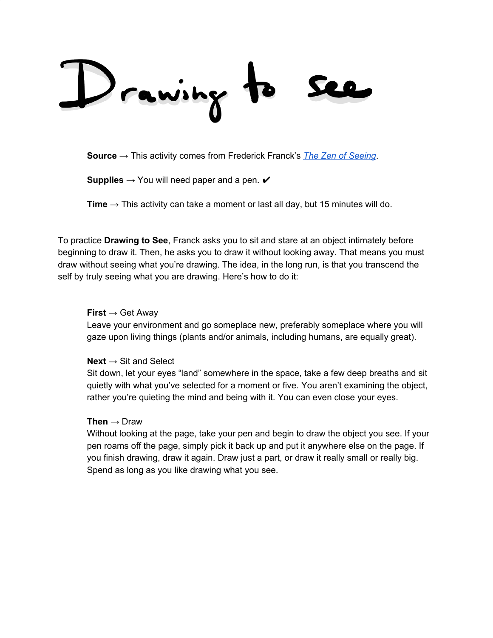rawing

**Source** → This activity comes from Frederick Franck's *The Zen of [Seeing](https://www.worldcat.org/title/zen-of-seeing/oclc/733687455&referer=brief_results)*.

**Supplies**  $\rightarrow$  You will need paper and a pen.  $\checkmark$ 

**Time**  $\rightarrow$  This activity can take a moment or last all day, but 15 minutes will do.

To practice **Drawing to See**, Franck asks you to sit and stare at an object intimately before beginning to draw it. Then, he asks you to draw it without looking away. That means you must draw without seeing what you're drawing. The idea, in the long run, is that you transcend the self by truly seeing what you are drawing. Here's how to do it:

## **First** → Get Away

Leave your environment and go someplace new, preferably someplace where you will gaze upon living things (plants and/or animals, including humans, are equally great).

## **Next** → Sit and Select

Sit down, let your eyes "land" somewhere in the space, take a few deep breaths and sit quietly with what you've selected for a moment or five. You aren't examining the object, rather you're quieting the mind and being with it. You can even close your eyes.

## **Then** → Draw

Without looking at the page, take your pen and begin to draw the object you see. If your pen roams off the page, simply pick it back up and put it anywhere else on the page. If you finish drawing, draw it again. Draw just a part, or draw it really small or really big. Spend as long as you like drawing what you see.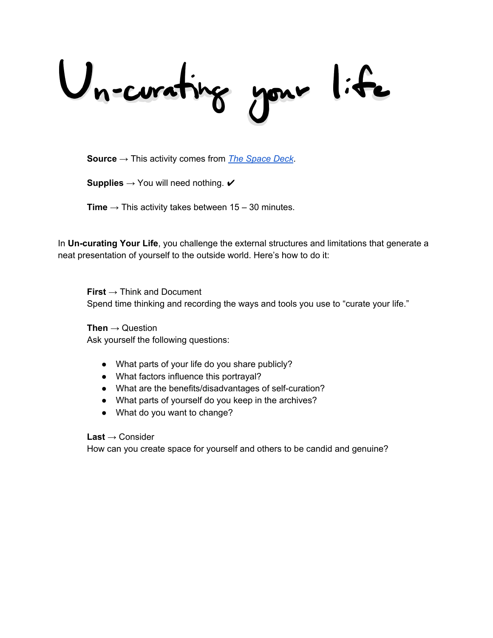Uncorating your life

**Source** → This activity comes from *The [Space](http://thespacedeck.com/) Deck*.

**Supplies**  $\rightarrow$  You will need nothing.  $\checkmark$ 

**Time**  $\rightarrow$  This activity takes between 15 – 30 minutes.

In **Un-curating Your Life**, you challenge the external structures and limitations that generate a neat presentation of yourself to the outside world. Here's how to do it:

**First** → Think and Document Spend time thinking and recording the ways and tools you use to "curate your life."

**Then** → Question Ask yourself the following questions:

- What parts of your life do you share publicly?
- What factors influence this portrayal?
- What are the benefits/disadvantages of self-curation?
- What parts of yourself do you keep in the archives?
- What do you want to change?

**Last** → Consider

How can you create space for yourself and others to be candid and genuine?